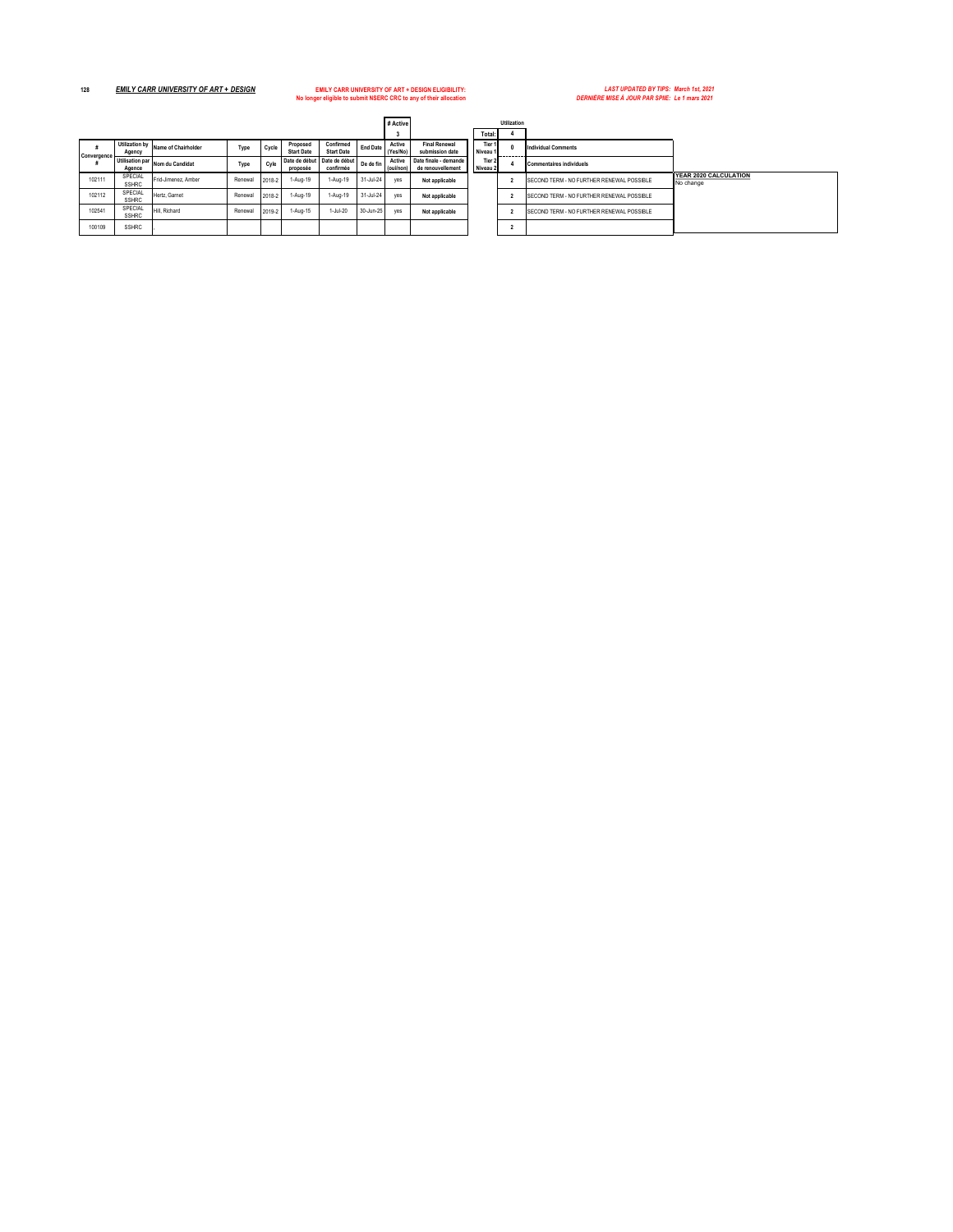**No longer eligible to submit NSERC CRC to any of their allocation** *DERNIÈRE MISE À JOUR PAR SPIIE: Le 1 mars 2021*

**128** *EMILY CARR UNIVERSITY OF ART + DESIGN* **EMILY CARR UNIVERSITY OF ART + DESIGN ELIGIBILITY:** *LAST UPDATED BY TIPS: March 1st, 2021*

|             |                                 |                     |         |        |                               |                                |                 |                     | <b>Utilization</b><br># Active             |  |                    |  |                                           |
|-------------|---------------------------------|---------------------|---------|--------|-------------------------------|--------------------------------|-----------------|---------------------|--------------------------------------------|--|--------------------|--|-------------------------------------------|
|             |                                 |                     |         |        |                               |                                |                 | з                   |                                            |  | Total:             |  |                                           |
| Convergence | <b>Utilization by</b><br>Agency | Name of Chairholder | Type    | Cycle  | Proposed<br><b>Start Date</b> | Confirmed<br><b>Start Date</b> | <b>End Date</b> | Active<br>(Yes/No)  | <b>Final Renewal</b><br>submission date    |  | Tier 1<br>Niveau 1 |  | <b>Individual Comments</b>                |
|             | Utilisation par<br>Agence       | Nom du Candidat     | Type    | Cyle   | Date de début<br>proposée     | Date de début<br>confirmée     | De de fin       | Active<br>(oui/non) | Date finale - demande<br>de renouvellement |  | Tier 2<br>Niveau 2 |  | <b>Commentaires individuels</b>           |
| 102111      | SPECIAL<br><b>SSHRC</b>         | Frid-Jimenez, Amber | Renewal | 2018-2 | 1-Aug-19                      | 1-Aug-19                       | $31$ -Jul-24    | ves                 | Not applicable                             |  |                    |  | SECOND TERM - NO FURTHER RENEWAL POSSIBLE |
| 102112      | SPECIAL<br><b>SSHRC</b>         | Hertz, Garnet       | Renewal | 2018-2 | 1-Aug-19                      | 1-Aug-19                       | $31$ -Jul-24    | yes                 | Not applicable                             |  |                    |  | SECOND TERM - NO FURTHER RENEWAL POSSIBLE |
| 102541      | SPECIAL<br><b>SSHRC</b>         | Hill, Richard       | Renewal | 2019-2 | 1-Aug-15                      | 1-Jul-20                       | 30-Jun-25       | yes                 | Not applicable                             |  |                    |  | SECOND TERM - NO FURTHER RENEWAL POSSIBLE |
| 100109      | <b>SSHRC</b>                    |                     |         |        |                               |                                |                 |                     |                                            |  |                    |  |                                           |

| # Active I          |                                            |                    |                    | Utilization              |                                                   |                                           |
|---------------------|--------------------------------------------|--------------------|--------------------|--------------------------|---------------------------------------------------|-------------------------------------------|
| 3                   |                                            |                    | Total:             |                          |                                                   |                                           |
| Active<br>(Yes/No)  | <b>Final Renewal</b><br>submission date    |                    | Tier 1<br>Niveau 1 | $\mathbf{0}$             | <b>Individual Comments</b>                        |                                           |
| Active<br>(oui/non) | Date finale - demande<br>de renouvellement | Tier 2<br>Niveau 2 |                    | 4                        | <b>Commentaires individuels</b>                   |                                           |
| yes                 | Not applicable                             |                    |                    | $\overline{\phantom{a}}$ | SECOND TERM - NO FURTHER RENEWAL POSSIBLE         | <b>YEAR 2020 CALCULATION</b><br>No change |
| ves                 | Not applicable                             |                    |                    | $\overline{\phantom{a}}$ | <b>ISECOND TERM - NO FURTHER RENEWAL POSSIBLE</b> |                                           |
| ves                 | Not applicable                             |                    |                    | $\overline{\phantom{a}}$ | SECOND TERM - NO FURTHER RENEWAL POSSIBLE         |                                           |
|                     |                                            |                    |                    | $\overline{\phantom{a}}$ |                                                   |                                           |